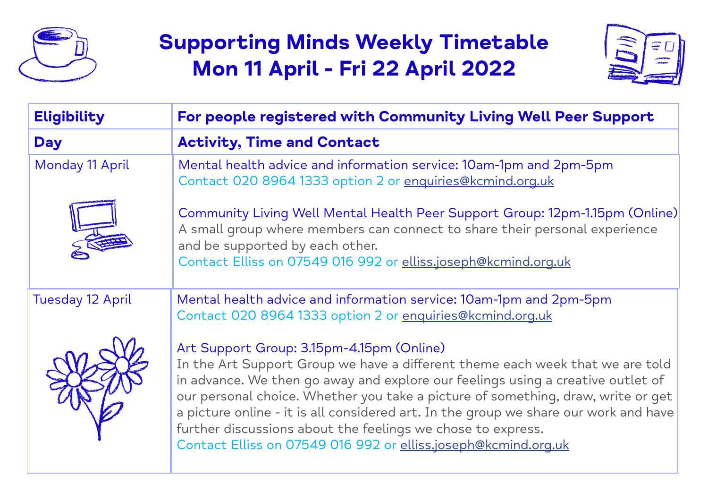

# **Supporting Minds Weekly Timetable Mon 11 April - Fri 22 April 2022**



| <b>Eligibility</b>      | For people registered with Community Living Well Peer Support                                                                                                                                                                                                                                                                                                                                                                                                                                                              |
|-------------------------|----------------------------------------------------------------------------------------------------------------------------------------------------------------------------------------------------------------------------------------------------------------------------------------------------------------------------------------------------------------------------------------------------------------------------------------------------------------------------------------------------------------------------|
| <b>Day</b>              | <b>Activity, Time and Contact</b>                                                                                                                                                                                                                                                                                                                                                                                                                                                                                          |
| Monday 11 April         | Mental health advice and information service: 10am-1pm and 2pm-5pm<br>Contact 020 8964 1333 option 2 or enquiries@kcmind.org.uk                                                                                                                                                                                                                                                                                                                                                                                            |
|                         | Community Living Well Mental Health Peer Support Group: 12pm-1.15pm (Online)<br>A small group where members can connect to share their personal experience<br>and be supported by each other.<br>Contact Elliss on 07549 016 992 or elliss.joseph@kcmind.org.uk                                                                                                                                                                                                                                                            |
| <b>Tuesday 12 April</b> | Mental health advice and information service: 10am-1pm and 2pm-5pm<br>Contact 020 8964 1333 option 2 or enquiries@kcmind.org.uk                                                                                                                                                                                                                                                                                                                                                                                            |
|                         | Art Support Group: 3.15pm-4.15pm (Online)<br>In the Art Support Group we have a different theme each week that we are told<br>in advance. We then go away and explore our feelings using a creative outlet of<br>our personal choice. Whether you take a picture of something, draw, write or get<br>a picture online - it is all considered art. In the group we share our work and have<br>further discussions about the feelings we chose to express.<br>Contact Elliss on 07549 016 992 or elliss.joseph@kcmind.org.uk |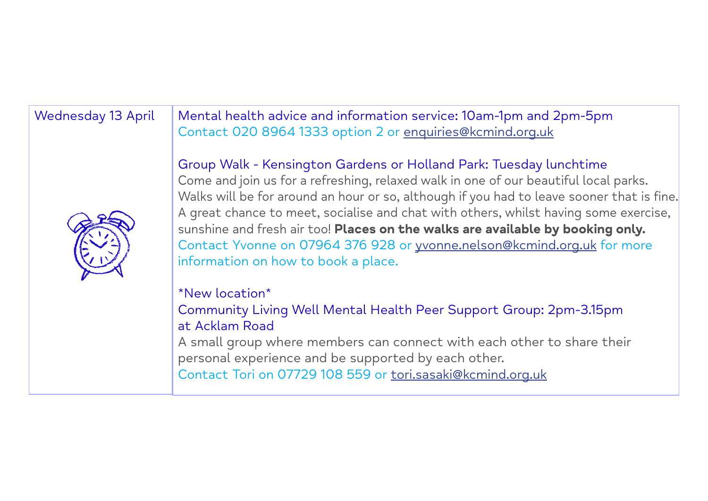Wednesday 13 April | Mental health advice and information service: 10am-1pm and 2pm-5pm Contact 020 8964 1333 option 2 or enquiries@kcmind.org.uk

## Group Walk - Kensington Gardens or Holland Park: Tuesday lunchtime



Come and join us for a refreshing, relaxed walk in one of our beautiful local parks. Walks will be for around an hour or so, although if you had to leave sooner that is fine. A great chance to meet, socialise and chat with others, whilst having some exercise, sunshine and fresh air too! **Places on the walks are available by booking only.** Contact Yvonne on 07964 376 928 or yvonne.nelson@kcmind.org.uk for more information on how to book a place.

# \*New location\*

Community Living Well Mental Health Peer Support Group: 2pm-3.15pm at Acklam Road

A small group where members can connect with each other to share their personal experience and be supported by each other.

Contact Tori on 07729 108 559 or tori.sasaki@kcmind.org.uk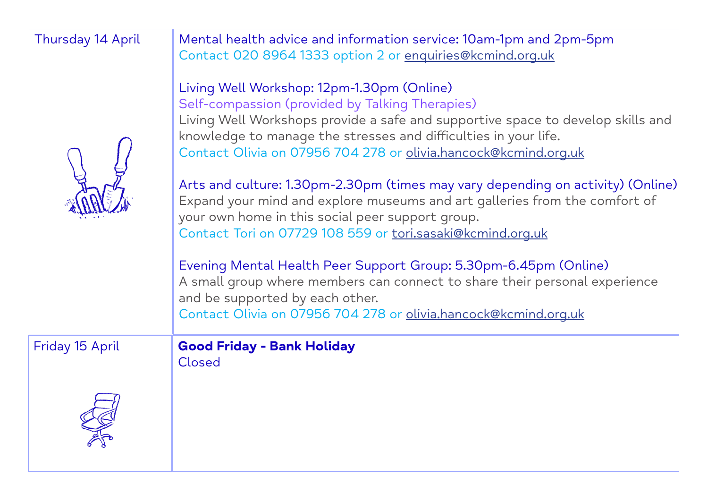| <b>Thursday 14 April</b> | Mental health advice and information service: 10am-1pm and 2pm-5pm<br>Contact 020 8964 1333 option 2 or enquiries@kcmind.org.uk<br>Living Well Workshop: 12pm-1.30pm (Online)<br>Self-compassion (provided by Talking Therapies)<br>Living Well Workshops provide a safe and supportive space to develop skills and<br>knowledge to manage the stresses and difficulties in your life.<br>Contact Olivia on 07956 704 278 or olivia.hancock@kcmind.org.uk<br>Arts and culture: 1.30pm-2.30pm (times may vary depending on activity) (Online)<br>Expand your mind and explore museums and art galleries from the comfort of<br>your own home in this social peer support group.<br>Contact Tori on 07729 108 559 or tori.sasaki@kcmind.org.uk<br>Evening Mental Health Peer Support Group: 5.30pm-6.45pm (Online)<br>A small group where members can connect to share their personal experience<br>and be supported by each other.<br>Contact Olivia on 07956 704 278 or olivia.hancock@kcmind.org.uk |
|--------------------------|------------------------------------------------------------------------------------------------------------------------------------------------------------------------------------------------------------------------------------------------------------------------------------------------------------------------------------------------------------------------------------------------------------------------------------------------------------------------------------------------------------------------------------------------------------------------------------------------------------------------------------------------------------------------------------------------------------------------------------------------------------------------------------------------------------------------------------------------------------------------------------------------------------------------------------------------------------------------------------------------------|
| Friday 15 April          | <b>Good Friday - Bank Holiday</b><br>Closed                                                                                                                                                                                                                                                                                                                                                                                                                                                                                                                                                                                                                                                                                                                                                                                                                                                                                                                                                          |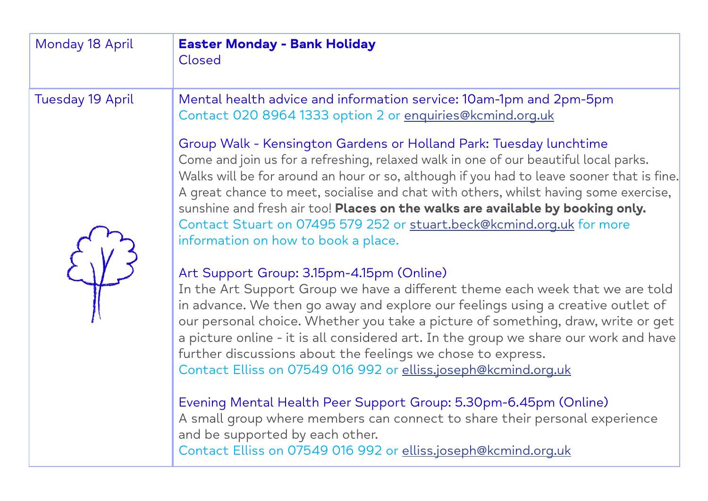| Monday 18 April         | <b>Easter Monday - Bank Holiday</b><br>Closed                                                                                                                                                                                                                                                                                                                                                                                                                                                                                                     |
|-------------------------|---------------------------------------------------------------------------------------------------------------------------------------------------------------------------------------------------------------------------------------------------------------------------------------------------------------------------------------------------------------------------------------------------------------------------------------------------------------------------------------------------------------------------------------------------|
| <b>Tuesday 19 April</b> | Mental health advice and information service: 10am-1pm and 2pm-5pm<br>Contact 020 8964 1333 option 2 or enquiries@kcmind.org.uk                                                                                                                                                                                                                                                                                                                                                                                                                   |
|                         | Group Walk - Kensington Gardens or Holland Park: Tuesday lunchtime<br>Come and join us for a refreshing, relaxed walk in one of our beautiful local parks.<br>Walks will be for around an hour or so, although if you had to leave sooner that is fine.<br>A great chance to meet, socialise and chat with others, whilst having some exercise,<br>sunshine and fresh air too! Places on the walks are available by booking only.<br>Contact Stuart on 07495 579 252 or stuart.beck@kcmind.org.uk for more<br>information on how to book a place. |
|                         | Art Support Group: 3.15pm-4.15pm (Online)<br>In the Art Support Group we have a different theme each week that we are told<br>in advance. We then go away and explore our feelings using a creative outlet of<br>our personal choice. Whether you take a picture of something, draw, write or get<br>a picture online - it is all considered art. In the group we share our work and have<br>further discussions about the feelings we chose to express.<br>Contact Elliss on 07549 016 992 or elliss.joseph@kcmind.org.uk                        |
|                         | Evening Mental Health Peer Support Group: 5.30pm-6.45pm (Online)<br>A small group where members can connect to share their personal experience<br>and be supported by each other.<br>Contact Elliss on 07549 016 992 or elliss.joseph@kcmind.org.uk                                                                                                                                                                                                                                                                                               |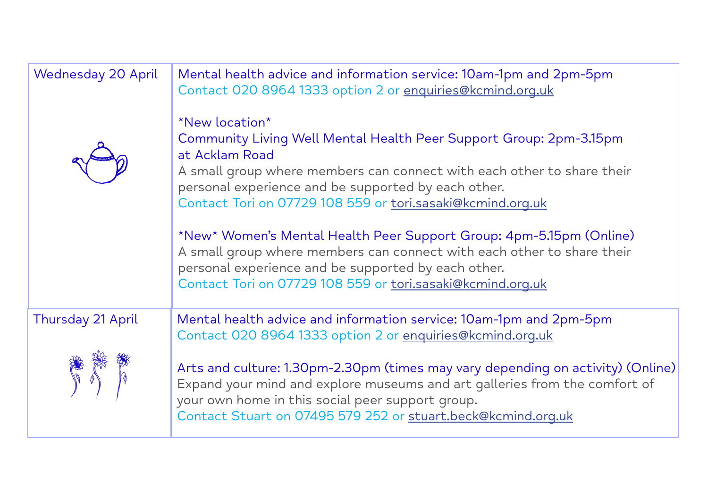| <b>Wednesday 20 April</b> | Mental health advice and information service: 10am-1pm and 2pm-5pm<br>Contact 020 8964 1333 option 2 or enquiries@kcmind.org.uk                                                                                                                                                                       |
|---------------------------|-------------------------------------------------------------------------------------------------------------------------------------------------------------------------------------------------------------------------------------------------------------------------------------------------------|
|                           | *New location*<br>Community Living Well Mental Health Peer Support Group: 2pm-3.15pm<br>at Acklam Road<br>A small group where members can connect with each other to share their<br>personal experience and be supported by each other.<br>Contact Tori on 07729 108 559 or tori.sasaki@kcmind.org.uk |
|                           | *New* Women's Mental Health Peer Support Group: 4pm-5.15pm (Online)<br>A small group where members can connect with each other to share their<br>personal experience and be supported by each other.<br>Contact Tori on 07729 108 559 or tori.sasaki@kcmind.org.uk                                    |
| <b>Thursday 21 April</b>  | Mental health advice and information service: 10am-1pm and 2pm-5pm<br>Contact 020 8964 1333 option 2 or enquiries@kcmind.org.uk                                                                                                                                                                       |
|                           | Arts and culture: 1.30pm-2.30pm (times may vary depending on activity) (Online)<br>Expand your mind and explore museums and art galleries from the comfort of<br>your own home in this social peer support group.<br>Contact Stuart on 07495 579 252 or stuart.beck@kcmind.org.uk                     |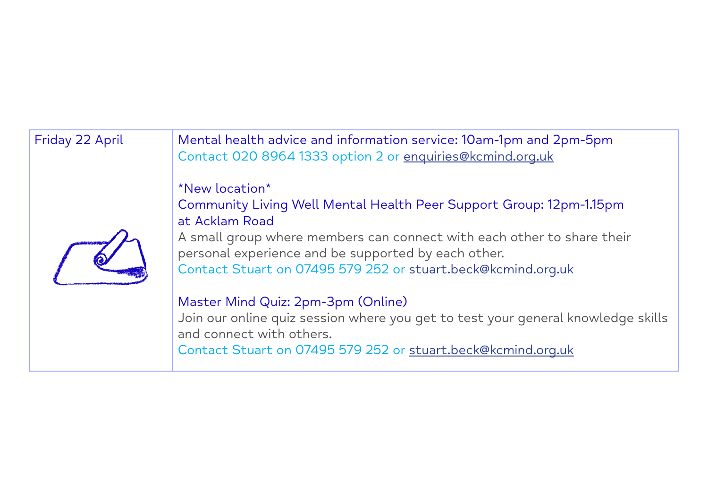Friday 22 April Mental health advice and information service: 10am-1pm and 2pm-5pm Contact 020 8964 1333 option 2 or enquiries@kcmind.org.uk

\*New location\*

Community Living Well Mental Health Peer Support Group: 12pm-1.15pm at Acklam Road

A small group where members can connect with each other to share their personal experience and be supported by each other. Contact Stuart on 07495 579 252 or stuart.beck@kcmind.org.uk

## Master Mind Quiz: 2pm-3pm (Online)

Join our online quiz session where you get to test your general knowledge skills and connect with others.

Contact Stuart on 07495 579 252 or stuart.beck@kcmind.org.uk